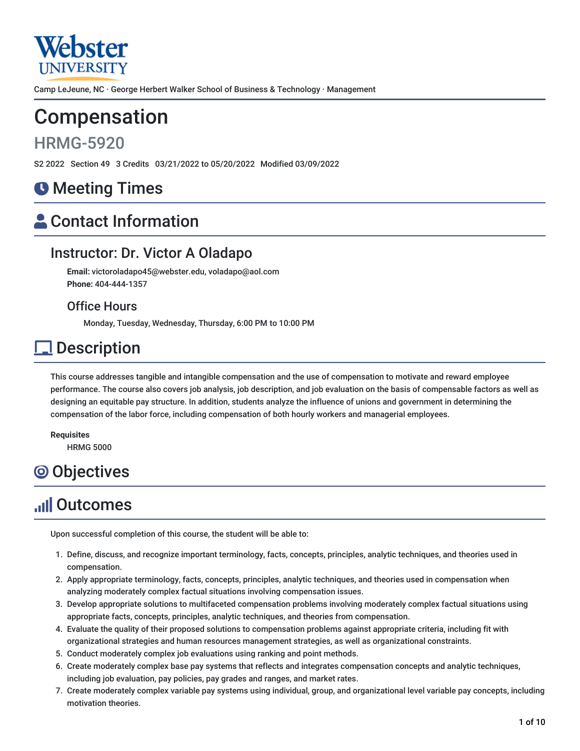

Camp LeJeune, NC · George Herbert Walker School of Business & Technology · Management

# Compensation

## HRMG-5920

S2 2022 Section 49 3 Credits 03/21/2022 to 05/20/2022 Modified 03/09/2022

## **O** Meeting Times

# **A** Contact Information

## Instructor: Dr. Victor A Oladapo

**Email:** victoroladapo45@webster.edu, voladapo@aol.com **Phone:** 404-444-1357

### Office Hours

Monday, Tuesday, Wednesday, Thursday, 6:00 PM to 10:00 PM

## **Description**

This course addresses tangible and intangible compensation and the use of compensation to motivate and reward employee performance. The course also covers job analysis, job description, and job evaluation on the basis of compensable factors as well as designing an equitable pay structure. In addition, students analyze the influence of unions and government in determining the compensation of the labor force, including compensation of both hourly workers and managerial employees.

**Requisites** HRMG 5000

# **O** Objectives

# **Juli Outcomes**

Upon successful completion of this course, the student will be able to:

- 1. Define, discuss, and recognize important terminology, facts, concepts, principles, analytic techniques, and theories used in compensation.
- 2. Apply appropriate terminology, facts, concepts, principles, analytic techniques, and theories used in compensation when analyzing moderately complex factual situations involving compensation issues.
- 3. Develop appropriate solutions to multifaceted compensation problems involving moderately complex factual situations using appropriate facts, concepts, principles, analytic techniques, and theories from compensation.
- 4. Evaluate the quality of their proposed solutions to compensation problems against appropriate criteria, including fit with organizational strategies and human resources management strategies, as well as organizational constraints.
- 5. Conduct moderately complex job evaluations using ranking and point methods.
- 6. Create moderately complex base pay systems that reflects and integrates compensation concepts and analytic techniques, including job evaluation, pay policies, pay grades and ranges, and market rates.
- 7. Create moderately complex variable pay systems using individual, group, and organizational level variable pay concepts, including motivation theories.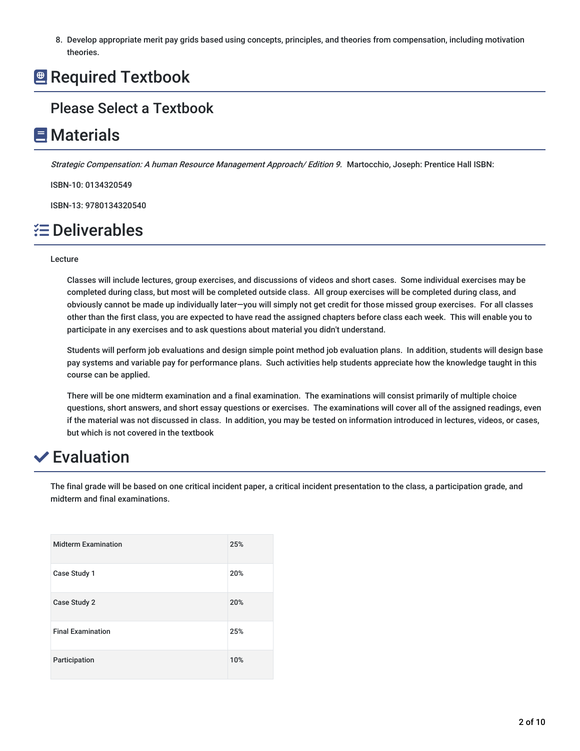8. Develop appropriate merit pay grids based using concepts, principles, and theories from compensation, including motivation theories.

## **Required Textbook**

## Please Select a Textbook

## **E** Materials

Strategic Compensation: A human Resource Management Approach/ Edition 9. Martocchio, Joseph: Prentice Hall ISBN:

ISBN-10: 0134320549

ISBN-13: 9780134320540

## **E** Deliverables

#### Lecture

Classes will include lectures, group exercises, and discussions of videos and short cases. Some individual exercises may be completed during class, but most will be completed outside class. All group exercises will be completed during class, and obviously cannot be made up individually later—you will simply not get credit for those missed group exercises. For all classes other than the first class, you are expected to have read the assigned chapters before class each week. This will enable you to participate in any exercises and to ask questions about material you didn't understand.

Students will perform job evaluations and design simple point method job evaluation plans. In addition, students will design base pay systems and variable pay for performance plans. Such activities help students appreciate how the knowledge taught in this course can be applied.

There will be one midterm examination and a final examination. The examinations will consist primarily of multiple choice questions, short answers, and short essay questions or exercises. The examinations will cover all of the assigned readings, even if the material was not discussed in class. In addition, you may be tested on information introduced in lectures, videos, or cases, but which is not covered in the textbook

## $\vee$  Evaluation

The final grade will be based on one critical incident paper, a critical incident presentation to the class, a participation grade, and midterm and final examinations.

| <b>Midterm Examination</b> | 25% |
|----------------------------|-----|
| Case Study 1               | 20% |
| Case Study 2               | 20% |
| <b>Final Examination</b>   | 25% |
| Participation              | 10% |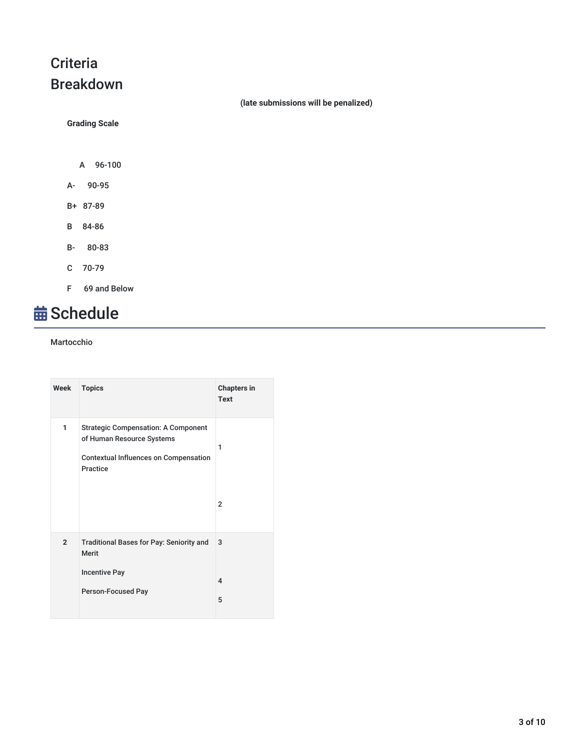## **Criteria** Breakdown

**(late submissions will be penalized)**

**Grading Scale**

- A 96-100
- A- 90-95
- B+ 87-89
- B 84-86
- B- 80-83
- C 70-79
- F 69 and Below

# **苗 Schedule**

#### Martocchio

| Week           | <b>Topics</b>                                                                                                                       | <b>Chapters in</b><br>Text        |
|----------------|-------------------------------------------------------------------------------------------------------------------------------------|-----------------------------------|
| 1              | <b>Strategic Compensation: A Component</b><br>of Human Resource Systems<br><b>Contextual Influences on Compensation</b><br>Practice | 1<br>$\overline{2}$               |
|                |                                                                                                                                     |                                   |
| $\overline{2}$ | Traditional Bases for Pay: Seniority and<br><b>Merit</b><br><b>Incentive Pay</b><br>Person-Focused Pay                              | 3<br>$\overline{\mathbf{A}}$<br>5 |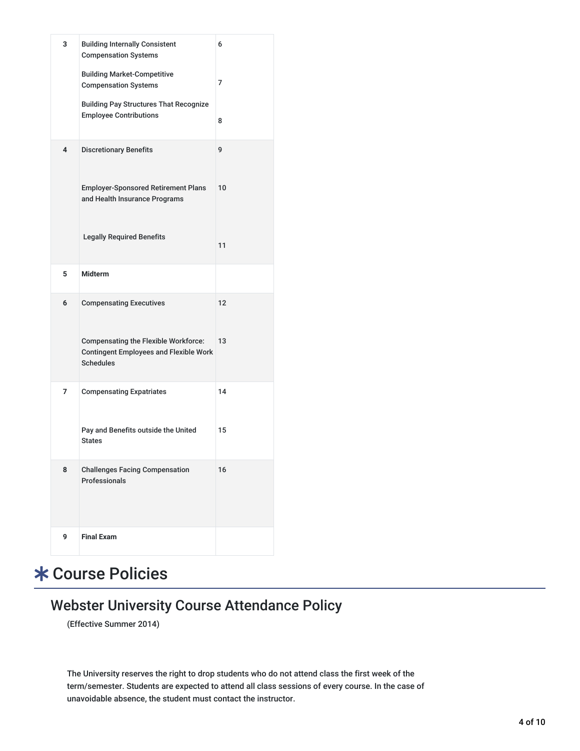| 3              | <b>Building Internally Consistent</b><br><b>Compensation Systems</b>                                             | 6  |
|----------------|------------------------------------------------------------------------------------------------------------------|----|
|                | <b>Building Market-Competitive</b><br><b>Compensation Systems</b>                                                | 7  |
|                | <b>Building Pay Structures That Recognize</b><br><b>Employee Contributions</b>                                   | 8  |
| 4              | <b>Discretionary Benefits</b>                                                                                    | 9  |
|                | <b>Employer-Sponsored Retirement Plans</b><br>and Health Insurance Programs                                      | 10 |
|                | <b>Legally Required Benefits</b>                                                                                 | 11 |
| 5              | <b>Midterm</b>                                                                                                   |    |
| 6              | <b>Compensating Executives</b>                                                                                   | 12 |
|                | <b>Compensating the Flexible Workforce:</b><br><b>Contingent Employees and Flexible Work</b><br><b>Schedules</b> | 13 |
| $\overline{7}$ | <b>Compensating Expatriates</b>                                                                                  | 14 |
|                | Pay and Benefits outside the United<br><b>States</b>                                                             | 15 |
| 8              | <b>Challenges Facing Compensation</b><br>Professionals                                                           | 16 |
| 9              | <b>Final Exam</b>                                                                                                |    |

# Course Policies

## Webster University Course Attendance Policy

(Effective Summer 2014)

The University reserves the right to drop students who do not attend class the first week of the term/semester. Students are expected to attend all class sessions of every course. In the case of unavoidable absence, the student must contact the instructor.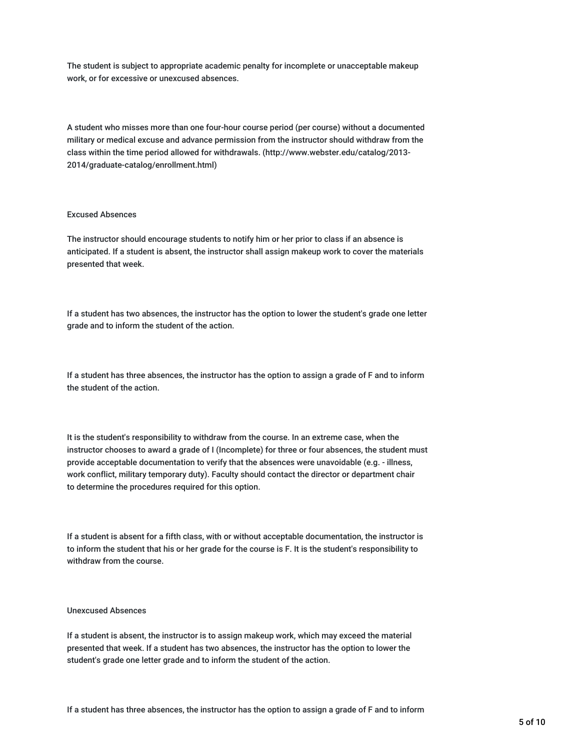The student is subject to appropriate academic penalty for incomplete or unacceptable makeup work, or for excessive or unexcused absences.

A student who misses more than one four-hour course period (per course) without a documented military or medical excuse and advance permission from the instructor should withdraw from the class within the time period allowed for withdrawals. (http://www.webster.edu/catalog/2013- 2014/graduate-catalog/enrollment.html)

#### Excused Absences

The instructor should encourage students to notify him or her prior to class if an absence is anticipated. If a student is absent, the instructor shall assign makeup work to cover the materials presented that week.

If a student has two absences, the instructor has the option to lower the student's grade one letter grade and to inform the student of the action.

If a student has three absences, the instructor has the option to assign a grade of F and to inform the student of the action.

It is the student's responsibility to withdraw from the course. In an extreme case, when the instructor chooses to award a grade of I (Incomplete) for three or four absences, the student must provide acceptable documentation to verify that the absences were unavoidable (e.g. - illness, work conflict, military temporary duty). Faculty should contact the director or department chair to determine the procedures required for this option.

If a student is absent for a fifth class, with or without acceptable documentation, the instructor is to inform the student that his or her grade for the course is F. It is the student's responsibility to withdraw from the course.

#### Unexcused Absences

If a student is absent, the instructor is to assign makeup work, which may exceed the material presented that week. If a student has two absences, the instructor has the option to lower the student's grade one letter grade and to inform the student of the action.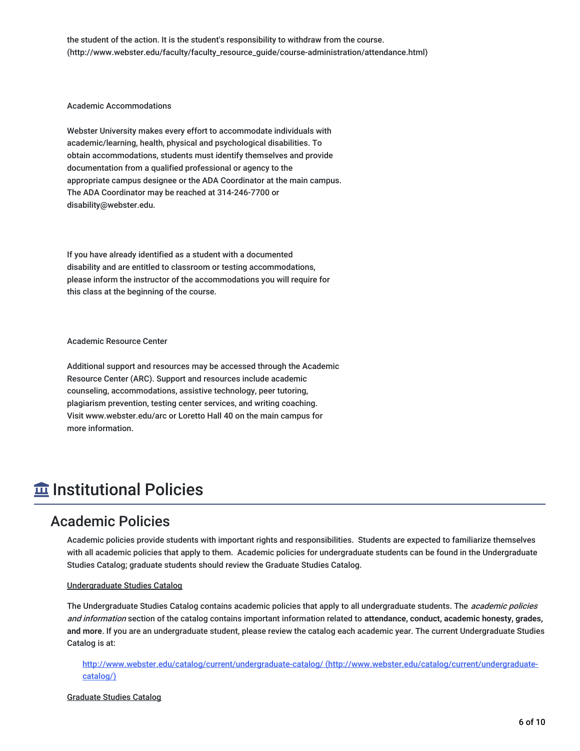the student of the action. It is the student's responsibility to withdraw from the course. (http://www.webster.edu/faculty/faculty\_resource\_guide/course-administration/attendance.html)

#### Academic Accommodations

Webster University makes every effort to accommodate individuals with academic/learning, health, physical and psychological disabilities. To obtain accommodations, students must identify themselves and provide documentation from a qualified professional or agency to the appropriate campus designee or the ADA Coordinator at the main campus. The ADA Coordinator may be reached at 314-246-7700 or disability@webster.edu.

If you have already identified as a student with a documented disability and are entitled to classroom or testing accommodations, please inform the instructor of the accommodations you will require for this class at the beginning of the course.

#### Academic Resource Center

Additional support and resources may be accessed through the Academic Resource Center (ARC). Support and resources include academic counseling, accommodations, assistive technology, peer tutoring, plagiarism prevention, testing center services, and writing coaching. Visit www.webster.edu/arc or Loretto Hall 40 on the main campus for more information.

## $\overline{\textbf{m}}$  Institutional Policies

### Academic Policies

Academic policies provide students with important rights and responsibilities. Students are expected to familiarize themselves with all academic policies that apply to them. Academic policies for undergraduate students can be found in the Undergraduate Studies Catalog; graduate students should review the Graduate Studies Catalog.

#### Undergraduate Studies Catalog

The Undergraduate Studies Catalog contains academic policies that apply to all undergraduate students. The *academic policies* and information section of the catalog contains important information related to **attendance, conduct, academic honesty, grades, and more**. If you are an undergraduate student, please review the catalog each academic year. The current Undergraduate Studies Catalog is at:

<http://www.webster.edu/catalog/current/undergraduate-catalog/> (http://www.webster.edu/catalog/current/undergraduatecatalog/)

#### Graduate Studies Catalog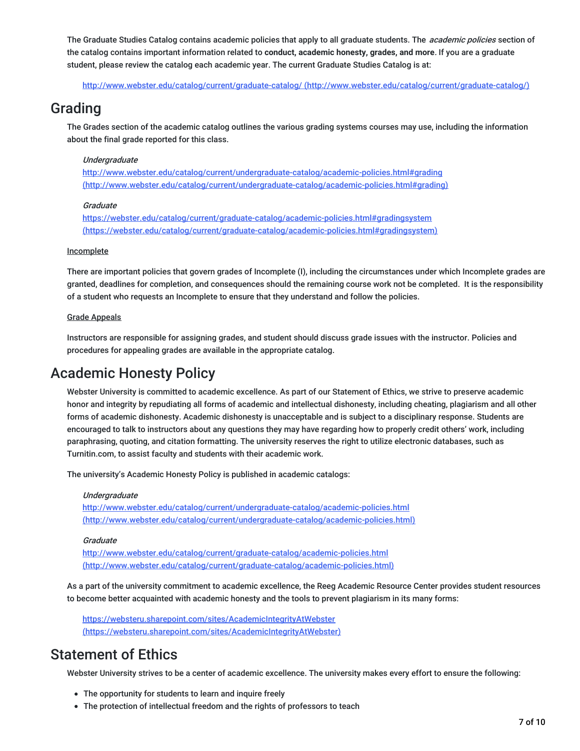The Graduate Studies Catalog contains academic policies that apply to all graduate students. The *academic policies* section of the catalog contains important information related to **conduct, academic honesty, grades, and more**. If you are a graduate student, please review the catalog each academic year. The current Graduate Studies Catalog is at:

http://www.webster.edu/catalog/current/graduate-catalog/ [\(http://www.webster.edu/catalog/current/graduate-catalog/\)](http://www.webster.edu/catalog/current/graduate-catalog/)

### Grading

The Grades section of the academic catalog outlines the various grading systems courses may use, including the information about the final grade reported for this class.

#### **Undergraduate**

http://www.webster.edu/catalog/current/undergraduate-catalog/academic-policies.html#grading [\(http://www.webster.edu/catalog/current/undergraduate-catalog/academic-policies.html#grading\)](http://www.webster.edu/catalog/current/undergraduate-catalog/academic-policies.html#grading)

#### **Graduate**

https://webster.edu/catalog/current/graduate-catalog/academic-policies.html#gradingsystem [\(https://webster.edu/catalog/current/graduate-catalog/academic-policies.html#gradingsystem\)](https://webster.edu/catalog/current/graduate-catalog/academic-policies.html#gradingsystem)

#### Incomplete

There are important policies that govern grades of Incomplete (I), including the circumstances under which Incomplete grades are granted, deadlines for completion, and consequences should the remaining course work not be completed. It is the responsibility of a student who requests an Incomplete to ensure that they understand and follow the policies.

#### Grade Appeals

Instructors are responsible for assigning grades, and student should discuss grade issues with the instructor. Policies and procedures for appealing grades are available in the appropriate catalog.

### Academic Honesty Policy

Webster University is committed to academic excellence. As part of our Statement of Ethics, we strive to preserve academic honor and integrity by repudiating all forms of academic and intellectual dishonesty, including cheating, plagiarism and all other forms of academic dishonesty. Academic dishonesty is unacceptable and is subject to a disciplinary response. Students are encouraged to talk to instructors about any questions they may have regarding how to properly credit others' work, including paraphrasing, quoting, and citation formatting. The university reserves the right to utilize electronic databases, such as Turnitin.com, to assist faculty and students with their academic work.

The university's Academic Honesty Policy is published in academic catalogs:

#### **Undergraduate**

http://www.webster.edu/catalog/current/undergraduate-catalog/academic-policies.html [\(http://www.webster.edu/catalog/current/undergraduate-catalog/academic-policies.html\)](http://www.webster.edu/catalog/current/undergraduate-catalog/academic-policies.html)

#### **Graduate**

<http://www.webster.edu/catalog/current/graduate-catalog/academic-policies.html> (http://www.webster.edu/catalog/current/graduate-catalog/academic-policies.html)

As a part of the university commitment to academic excellence, the Reeg Academic Resource Center provides student resources to become better acquainted with academic honesty and the tools to prevent plagiarism in its many forms:

<https://websteru.sharepoint.com/sites/AcademicIntegrityAtWebster> (https://websteru.sharepoint.com/sites/AcademicIntegrityAtWebster)

## Statement of Ethics

Webster University strives to be a center of academic excellence. The university makes every effort to ensure the following:

- The opportunity for students to learn and inquire freely
- The protection of intellectual freedom and the rights of professors to teach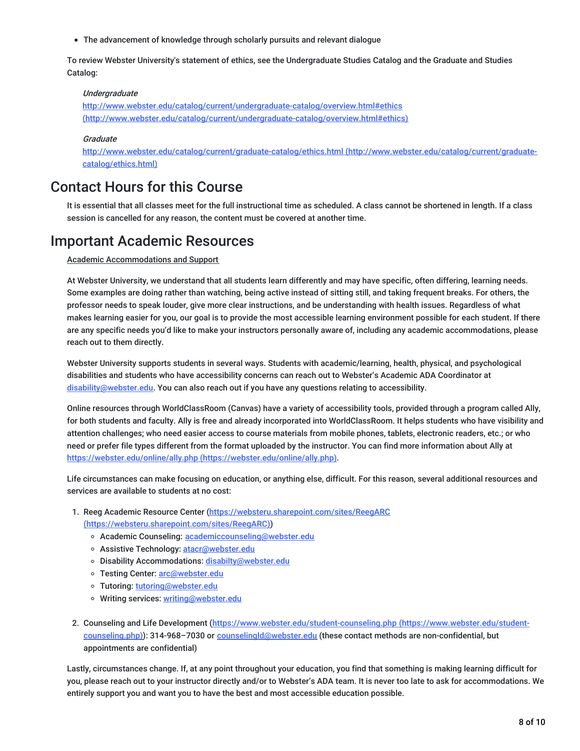The advancement of knowledge through scholarly pursuits and relevant dialogue

To review Webster University's statement of ethics, see the Undergraduate Studies Catalog and the Graduate and Studies Catalog:

#### **Undergraduate**

http://www.webster.edu/catalog/current/undergraduate-catalog/overview.html#ethics [\(http://www.webster.edu/catalog/current/undergraduate-catalog/overview.html#ethics\)](http://www.webster.edu/catalog/current/undergraduate-catalog/overview.html#ethics)

#### **Graduate**

<http://www.webster.edu/catalog/current/graduate-catalog/ethics.html> (http://www.webster.edu/catalog/current/graduatecatalog/ethics.html)

### Contact Hours for this Course

It is essential that all classes meet for the full instructional time as scheduled. A class cannot be shortened in length. If a class session is cancelled for any reason, the content must be covered at another time.

### Important Academic Resources

Academic Accommodations and Support

At Webster University, we understand that all students learn differently and may have specific, often differing, learning needs. Some examples are doing rather than watching, being active instead of sitting still, and taking frequent breaks. For others, the professor needs to speak louder, give more clear instructions, and be understanding with health issues. Regardless of what makes learning easier for you, our goal is to provide the most accessible learning environment possible for each student. If there are any specific needs you'd like to make your instructors personally aware of, including any academic accommodations, please reach out to them directly.

Webster University supports students in several ways. Students with academic/learning, health, physical, and psychological disabilities and students who have accessibility concerns can reach out to Webster's Academic ADA Coordinator at [disability@webster.edu](mailto:disability@webster.edu). You can also reach out if you have any questions relating to accessibility.

Online resources through WorldClassRoom (Canvas) have a variety of accessibility tools, provided through a program called Ally, for both students and faculty. Ally is free and already incorporated into WorldClassRoom. It helps students who have visibility and attention challenges; who need easier access to course materials from mobile phones, tablets, electronic readers, etc.; or who need or prefer file types different from the format uploaded by the instructor. You can find more information about Ally at https://webster.edu/online/ally.php [\(https://webster.edu/online/ally.php\)](https://webster.edu/online/ally.php).

Life circumstances can make focusing on education, or anything else, difficult. For this reason, several additional resources and services are available to students at no cost:

- 1. Reeg Academic Resource Center [\(https://websteru.sharepoint.com/sites/ReegARC](https://websteru.sharepoint.com/sites/ReegARC) (https://websteru.sharepoint.com/sites/ReegARC))
	- o Academic Counseling: [academiccounseling@webster.edu](mailto:academiccounseling@webster.edu)
	- o Assistive Technology: [atacr@webster.edu](mailto:atacr@webster.edu)
	- o Disability Accommodations: [disabilty@webster.edu](mailto:disabilty@webster.edu)
	- o Testing Center: [arc@webster.edu](mailto:arc@webster.edu)
	- Tutoring: [tutoring@webster.edu](mailto:tutoring@webster.edu)
	- o Writing services: [writing@webster.edu](mailto:writing@webster.edu)
- 2. Counseling and Life Development [\(https://www.webster.edu/student-counseling.php](https://www.webster.edu/student-counseling.php) (https://www.webster.edu/studentcounseling.php)): 314-968-7030 or [counselingld@webster.edu](mailto:counselingld@webster.edu) (these contact methods are non-confidential, but appointments are confidential)

Lastly, circumstances change. If, at any point throughout your education, you find that something is making learning difficult for you, please reach out to your instructor directly and/or to Webster's ADA team. It is never too late to ask for accommodations. We entirely support you and want you to have the best and most accessible education possible.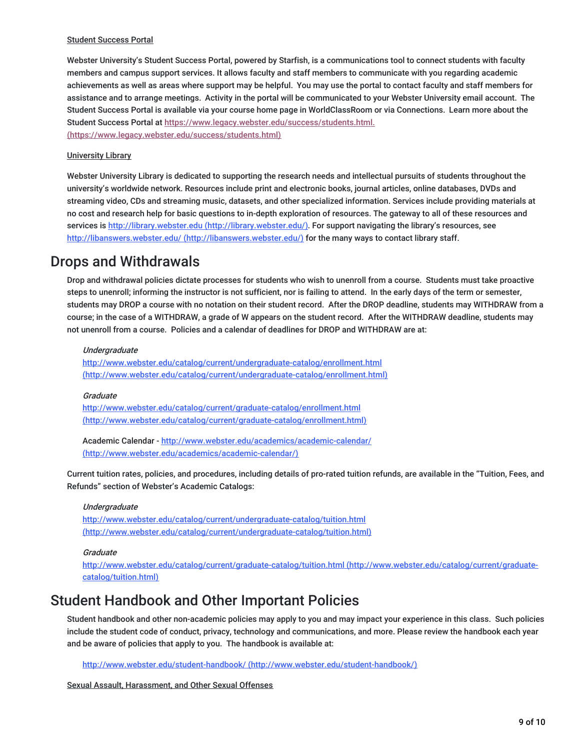#### Student Success Portal

Webster University's Student Success Portal, powered by Starfish, is a communications tool to connect students with faculty members and campus support services. It allows faculty and staff members to communicate with you regarding academic achievements as well as areas where support may be helpful. You may use the portal to contact faculty and staff members for assistance and to arrange meetings. Activity in the portal will be communicated to your Webster University email account. The Student Success Portal is available via your course home page in WorldClassRoom or via Connections. Learn more about the Student Success Portal at [https://www.legacy.webster.edu/success/students.html.](https://www.legacy.webster.edu/success/students.html)

(https://www.legacy.webster.edu/success/students.html)

#### University Library

Webster University Library is dedicated to supporting the research needs and intellectual pursuits of students throughout the university's worldwide network. Resources include print and electronic books, journal articles, online databases, DVDs and streaming video, CDs and streaming music, datasets, and other specialized information. Services include providing materials at no cost and research help for basic questions to in-depth exploration of resources. The gateway to all of these resources and services is http://library.webster.edu [\(http://library.webster.edu/\)](http://library.webster.edu/). For support navigating the library's resources, see http://libanswers.webster.edu/ [\(http://libanswers.webster.edu/\)](http://libanswers.webster.edu/) for the many ways to contact library staff.

### Drops and Withdrawals

Drop and withdrawal policies dictate processes for students who wish to unenroll from a course. Students must take proactive steps to unenroll; informing the instructor is not sufficient, nor is failing to attend. In the early days of the term or semester, students may DROP a course with no notation on their student record. After the DROP deadline, students may WITHDRAW from a course; in the case of a WITHDRAW, a grade of W appears on the student record. After the WITHDRAW deadline, students may not unenroll from a course. Policies and a calendar of deadlines for DROP and WITHDRAW are at:

#### Undergraduate

<http://www.webster.edu/catalog/current/undergraduate-catalog/enrollment.html> (http://www.webster.edu/catalog/current/undergraduate-catalog/enrollment.html)

#### **Graduate**

<http://www.webster.edu/catalog/current/graduate-catalog/enrollment.html> (http://www.webster.edu/catalog/current/graduate-catalog/enrollment.html)

Academic Calendar - http://www.webster.edu/academics/academic-calendar/ [\(http://www.webster.edu/academics/academic-calendar/\)](http://www.webster.edu/academics/academic-calendar/)

Current tuition rates, policies, and procedures, including details of pro-rated tuition refunds, are available in the "Tuition, Fees, and Refunds" section of Webster's Academic Catalogs:

#### **Undergraduate**

http://www.webster.edu/catalog/current/undergraduate-catalog/tuition.html [\(http://www.webster.edu/catalog/current/undergraduate-catalog/tuition.html\)](http://www.webster.edu/catalog/current/undergraduate-catalog/tuition.html)

#### **Graduate**

<http://www.webster.edu/catalog/current/graduate-catalog/tuition.html> (http://www.webster.edu/catalog/current/graduatecatalog/tuition.html)

### Student Handbook and Other Important Policies

Student handbook and other non-academic policies may apply to you and may impact your experience in this class. Such policies include the student code of conduct, privacy, technology and communications, and more. Please review the handbook each year and be aware of policies that apply to you. The handbook is available at:

http://www.webster.edu/student-handbook/ [\(http://www.webster.edu/student-handbook/\)](http://www.webster.edu/student-handbook/)

Sexual Assault, Harassment, and Other Sexual Offenses